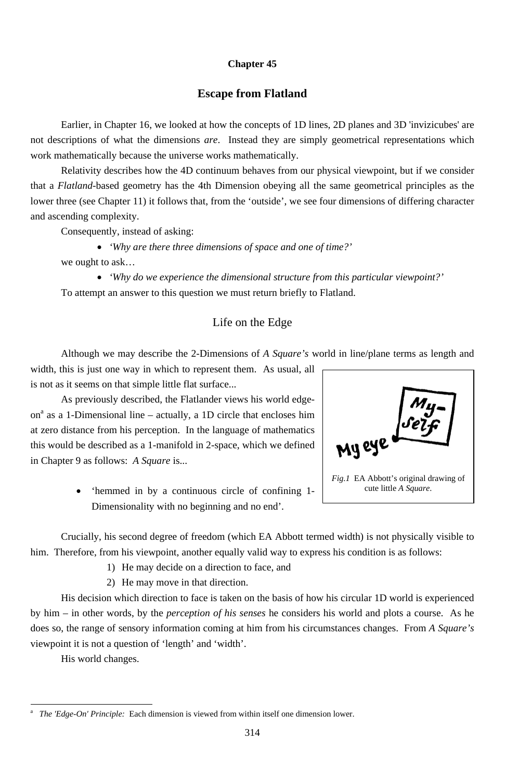#### **Chapter 45**

## **Escape from Flatland**

Earlier, in Chapter 16, we looked at how the concepts of 1D lines, 2D planes and 3D 'invizicubes' are not descriptions of what the dimensions *are*. Instead they are simply geometrical representations which work mathematically because the universe works mathematically.

Relativity describes how the 4D continuum behaves from our physical viewpoint, but if we consider that a *Flatland*-based geometry has the 4th Dimension obeying all the same geometrical principles as the lower three (see Chapter 11) it follows that, from the 'outside', we see four dimensions of differing character and ascending complexity.

Consequently, instead of asking:

• *'Why are there three dimensions of space and one of time?'*  we ought to ask…

• *'Why do we experience the dimensional structure from this particular viewpoint?'*  To attempt an answer to this question we must return briefly to Flatland.

# Life on the Edge

Although we may describe the 2-Dimensions of *A Square's* world in line/plane terms as length and

width, this is just one way in which to represent them. As usual, all is not as it seems on that simple little flat surface...

His decision which direction to face is taken on the basis of how his circular 1D world is experienced by him – in other words, by the *perception of his senses* he considers his world and plots a course. As he does so, the range of sensory information coming at him from his circumstances changes. From *A Square's* viewpoint it is not a question of 'length' and 'width'.

As previously described, the Flatlander views his world edgeon<sup>a</sup> as a 1-Dimensional line – actually, a 1D circle that encloses him at zero distance from his perception. In the language of mathematics this would be described as a 1-manifold in 2-space, which we defined in Chapter 9 as follows: *A Square* is...

> • 'hemmed in by a continuous circle of confining 1- Dimensionality with no beginning and no end'.

Crucially, his second degree of freedom (which EA Abbott termed width) is not physically visible to him. Therefore, from his viewpoint, another equally valid way to express his condition is as follows:

1) He may decide on a direction to face, and

2) He may move in that direction.

His world changes.

-



<sup>314</sup>

a *The 'Edge-On' Principle:* Each dimension is viewed from within itself one dimension lower.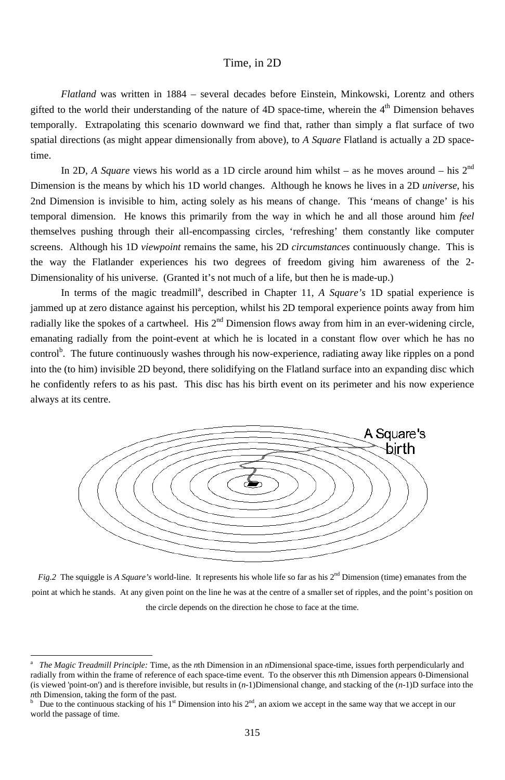315

## Time, in 2D

*Flatland* was written in 1884 – several decades before Einstein, Minkowski, Lorentz and others gifted to the world their understanding of the nature of  $4D$  space-time, wherein the  $4<sup>th</sup>$  Dimension behaves temporally. Extrapolating this scenario downward we find that, rather than simply a flat surface of two spatial directions (as might appear dimensionally from above), to *A Square* Flatland is actually a 2D spacetime.

In 2D, *A Square* views his world as a 1D circle around him whilst – as he moves around – his  $2<sup>nd</sup>$ Dimension is the means by which his 1D world changes. Although he knows he lives in a 2D *universe*, his 2nd Dimension is invisible to him, acting solely as his means of change. This 'means of change' is his temporal dimension. He knows this primarily from the way in which he and all those around him *feel* themselves pushing through their all-encompassing circles, 'refreshing' them constantly like computer screens. Although his 1D *viewpoint* remains the same, his 2D *circumstances* continuously change. This is the way the Flatlander experiences his two degrees of freedom giving him awareness of the 2- Dimensionality of his universe. (Granted it's not much of a life, but then he is made-up.)

In terms of the magic treadmill<sup>a</sup>, described in Chapter 11, *A Square's* 1D spatial experience is jammed up at zero distance against his perception, whilst his 2D temporal experience points away from him radially like the spokes of a cartwheel. His  $2<sup>nd</sup>$  Dimension flows away from him in an ever-widening circle, emanating radially from the point-event at which he is located in a constant flow over which he has no control<sup>b</sup>. The future continuously washes through his now-experience, radiating away like ripples on a pond into the (to him) invisible 2D beyond, there solidifying on the Flatland surface into an expanding disc which he confidently refers to as his past. This disc has his birth event on its perimeter and his now experience always at its centre.



*Fig.2* The squiggle is *A Square's* world-line. It represents his whole life so far as his 2<sup>nd</sup> Dimension (time) emanates from the point at which he stands. At any given point on the line he was at the centre of a smaller set of ripples, and the point's position on the circle depends on the direction he chose to face at the time.

<sup>-</sup>

a *The Magic Treadmill Principle:* Time, as the *n*th Dimension in an *n*Dimensional space-time, issues forth perpendicularly and radially from within the frame of reference of each space-time event. To the observer this *n*th Dimension appears 0-Dimensional (is viewed 'point-on') and is therefore invisible, but results in (*n*-1)Dimensional change, and stacking of the (*n*-1)D surface into the *n*th Dimension, taking the form of the past.

b Due to the continuous stacking of his  $1<sup>st</sup>$  Dimension into his  $2<sup>nd</sup>$ , an axiom we accept in the same way that we accept in our world the passage of time.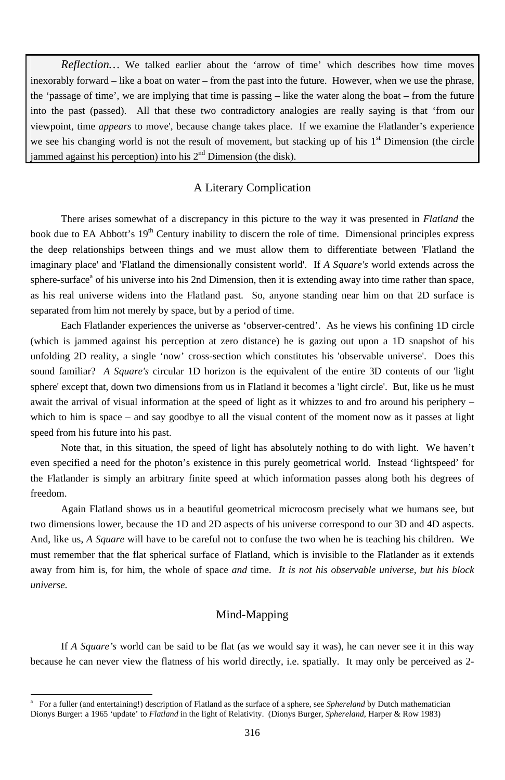316

*Reflection*... We talked earlier about the 'arrow of time' which describes how time moves inexorably forward – like a boat on water – from the past into the future. However, when we use the phrase, the 'passage of time', we are implying that time is passing – like the water along the boat – from the future into the past (passed). All that these two contradictory analogies are really saying is that 'from our viewpoint, time *appears* to move', because change takes place. If we examine the Flatlander's experience we see his changing world is not the result of movement, but stacking up of his  $1<sup>st</sup>$  Dimension (the circle jammed against his perception) into his  $2<sup>nd</sup>$  Dimension (the disk).

## A Literary Complication

There arises somewhat of a discrepancy in this picture to the way it was presented in *Flatland* the book due to EA Abbott's 19<sup>th</sup> Century inability to discern the role of time. Dimensional principles express the deep relationships between things and we must allow them to differentiate between 'Flatland the imaginary place' and 'Flatland the dimensionally consistent world'. If *A Square's* world extends across the sphere-surface<sup>a</sup> of his universe into his 2nd Dimension, then it is extending away into time rather than space, as his real universe widens into the Flatland past. So, anyone standing near him on that 2D surface is separated from him not merely by space, but by a period of time.

Each Flatlander experiences the universe as 'observer-centred'. As he views his confining 1D circle (which is jammed against his perception at zero distance) he is gazing out upon a 1D snapshot of his unfolding 2D reality, a single 'now' cross-section which constitutes his 'observable universe'. Does this sound familiar? *A Square's* circular 1D horizon is the equivalent of the entire 3D contents of our 'light sphere' except that, down two dimensions from us in Flatland it becomes a 'light circle'. But, like us he must await the arrival of visual information at the speed of light as it whizzes to and fro around his periphery – which to him is space – and say goodbye to all the visual content of the moment now as it passes at light speed from his future into his past.

Note that, in this situation, the speed of light has absolutely nothing to do with light. We haven't even specified a need for the photon's existence in this purely geometrical world. Instead 'lightspeed' for the Flatlander is simply an arbitrary finite speed at which information passes along both his degrees of freedom.

Again Flatland shows us in a beautiful geometrical microcosm precisely what we humans see, but two dimensions lower, because the 1D and 2D aspects of his universe correspond to our 3D and 4D aspects. And, like us, *A Square* will have to be careful not to confuse the two when he is teaching his children. We must remember that the flat spherical surface of Flatland, which is invisible to the Flatlander as it extends away from him is, for him, the whole of space *and* time. *It is not his observable universe, but his block* 

*universe.*

-

# Mind-Mapping

If *A Square's* world can be said to be flat (as we would say it was), he can never see it in this way because he can never view the flatness of his world directly, i.e. spatially. It may only be perceived as 2-

a For a fuller (and entertaining!) description of Flatland as the surface of a sphere, see *Sphereland* by Dutch mathematician Dionys Burger: a 1965 'update' to *Flatland* in the light of Relativity. (Dionys Burger, *Sphereland*, Harper & Row 1983)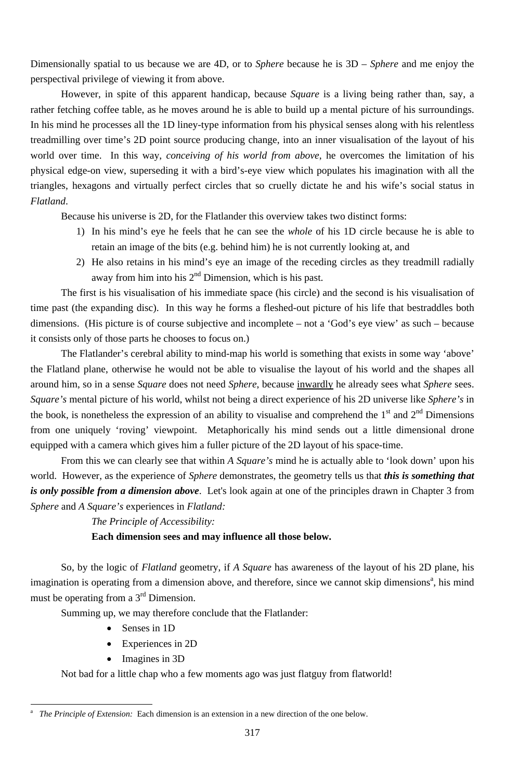Dimensionally spatial to us because we are 4D, or to *Sphere* because he is 3D – *Sphere* and me enjoy the perspectival privilege of viewing it from above.

- 1) In his mind's eye he feels that he can see the *whole* of his 1D circle because he is able to retain an image of the bits (e.g. behind him) he is not currently looking at, and
- 2) He also retains in his mind's eye an image of the receding circles as they treadmill radially away from him into his  $2<sup>nd</sup>$  Dimension, which is his past.

However, in spite of this apparent handicap, because *Square* is a living being rather than, say, a rather fetching coffee table, as he moves around he is able to build up a mental picture of his surroundings. In his mind he processes all the 1D liney-type information from his physical senses along with his relentless treadmilling over time's 2D point source producing change, into an inner visualisation of the layout of his world over time. In this way, *conceiving of his world from above*, he overcomes the limitation of his physical edge-on view, superseding it with a bird's-eye view which populates his imagination with all the triangles, hexagons and virtually perfect circles that so cruelly dictate he and his wife's social status in *Flatland*.

Because his universe is 2D, for the Flatlander this overview takes two distinct forms:

The first is his visualisation of his immediate space (his circle) and the second is his visualisation of time past (the expanding disc). In this way he forms a fleshed-out picture of his life that bestraddles both dimensions. (His picture is of course subjective and incomplete – not a 'God's eye view' as such – because it consists only of those parts he chooses to focus on.)

The Flatlander's cerebral ability to mind-map his world is something that exists in some way 'above' the Flatland plane, otherwise he would not be able to visualise the layout of his world and the shapes all around him, so in a sense *Square* does not need *Sphere*, because inwardly he already sees what *Sphere* sees. *Square's* mental picture of his world, whilst not being a direct experience of his 2D universe like *Sphere's* in the book, is nonetheless the expression of an ability to visualise and comprehend the  $1<sup>st</sup>$  and  $2<sup>nd</sup>$  Dimensions from one uniquely 'roving' viewpoint. Metaphorically his mind sends out a little dimensional drone equipped with a camera which gives him a fuller picture of the 2D layout of his space-time.

From this we can clearly see that within *A Square's* mind he is actually able to 'look down' upon his world. However, as the experience of *Sphere* demonstrates, the geometry tells us that *this is something that is only possible from a dimension above*. Let's look again at one of the principles drawn in Chapter 3 from *Sphere* and *A Square's* experiences in *Flatland:*

*The Principle of Accessibility:* 

**Each dimension sees and may influence all those below.** 

So, by the logic of *Flatland* geometry, if *A Square* has awareness of the layout of his 2D plane, his

imagination is operating from a dimension above, and therefore, since we cannot skip dimensions<sup>a</sup>, his mind must be operating from a  $3<sup>rd</sup>$  Dimension.

Summing up, we may therefore conclude that the Flatlander:

- Senses in 1D
- Experiences in 2D
- Imagines in 3D

-

Not bad for a little chap who a few moments ago was just flatguy from flatworld!

<sup>317</sup>

a *The Principle of Extension:* Each dimension is an extension in a new direction of the one below.